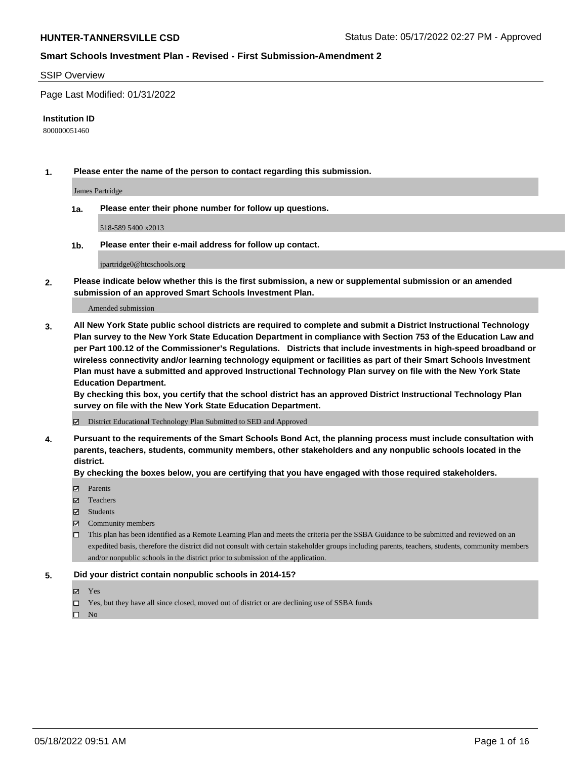#### SSIP Overview

Page Last Modified: 01/31/2022

#### **Institution ID**

800000051460

**1. Please enter the name of the person to contact regarding this submission.**

James Partridge

**1a. Please enter their phone number for follow up questions.**

518-589 5400 x2013

**1b. Please enter their e-mail address for follow up contact.**

jpartridge0@htcschools.org

**2. Please indicate below whether this is the first submission, a new or supplemental submission or an amended submission of an approved Smart Schools Investment Plan.**

Amended submission

**3. All New York State public school districts are required to complete and submit a District Instructional Technology Plan survey to the New York State Education Department in compliance with Section 753 of the Education Law and per Part 100.12 of the Commissioner's Regulations. Districts that include investments in high-speed broadband or wireless connectivity and/or learning technology equipment or facilities as part of their Smart Schools Investment Plan must have a submitted and approved Instructional Technology Plan survey on file with the New York State Education Department.** 

**By checking this box, you certify that the school district has an approved District Instructional Technology Plan survey on file with the New York State Education Department.**

District Educational Technology Plan Submitted to SED and Approved

**4. Pursuant to the requirements of the Smart Schools Bond Act, the planning process must include consultation with parents, teachers, students, community members, other stakeholders and any nonpublic schools located in the district.** 

**By checking the boxes below, you are certifying that you have engaged with those required stakeholders.**

- $\blacksquare$  Parents
- Teachers
- Students
- $\Xi$  Community members
- This plan has been identified as a Remote Learning Plan and meets the criteria per the SSBA Guidance to be submitted and reviewed on an expedited basis, therefore the district did not consult with certain stakeholder groups including parents, teachers, students, community members and/or nonpublic schools in the district prior to submission of the application.

## **5. Did your district contain nonpublic schools in 2014-15?**

- Yes
- $\Box$  Yes, but they have all since closed, moved out of district or are declining use of SSBA funds

 $\square$  No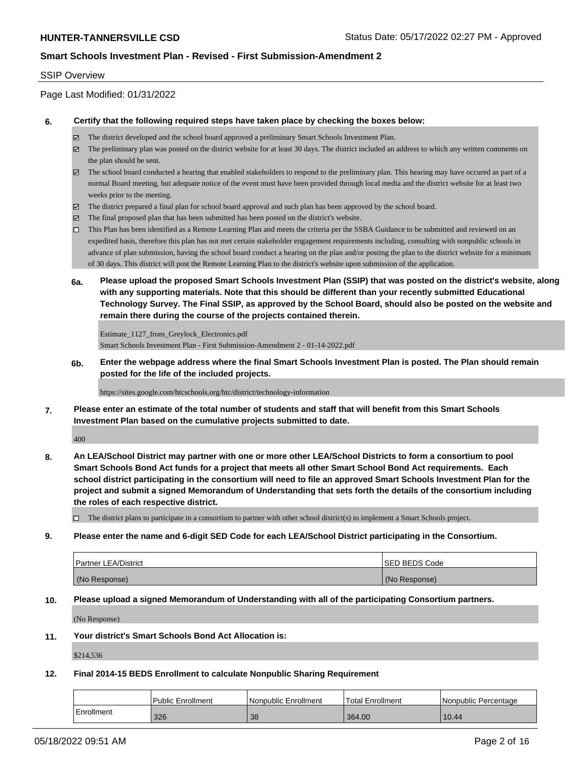## SSIP Overview

Page Last Modified: 01/31/2022

### **6. Certify that the following required steps have taken place by checking the boxes below:**

- The district developed and the school board approved a preliminary Smart Schools Investment Plan.
- $\boxtimes$  The preliminary plan was posted on the district website for at least 30 days. The district included an address to which any written comments on the plan should be sent.
- $\boxtimes$  The school board conducted a hearing that enabled stakeholders to respond to the preliminary plan. This hearing may have occured as part of a normal Board meeting, but adequate notice of the event must have been provided through local media and the district website for at least two weeks prior to the meeting.
- The district prepared a final plan for school board approval and such plan has been approved by the school board.
- $\boxtimes$  The final proposed plan that has been submitted has been posted on the district's website.
- This Plan has been identified as a Remote Learning Plan and meets the criteria per the SSBA Guidance to be submitted and reviewed on an expedited basis, therefore this plan has not met certain stakeholder engagement requirements including, consulting with nonpublic schools in advance of plan submission, having the school board conduct a hearing on the plan and/or posting the plan to the district website for a minimum of 30 days. This district will post the Remote Learning Plan to the district's website upon submission of the application.
- **6a. Please upload the proposed Smart Schools Investment Plan (SSIP) that was posted on the district's website, along with any supporting materials. Note that this should be different than your recently submitted Educational Technology Survey. The Final SSIP, as approved by the School Board, should also be posted on the website and remain there during the course of the projects contained therein.**

Estimate 1127 from Greylock Electronics.pdf Smart Schools Investment Plan - First Submission-Amendment 2 - 01-14-2022.pdf

**6b. Enter the webpage address where the final Smart Schools Investment Plan is posted. The Plan should remain posted for the life of the included projects.**

https://sites.google.com/htcschools.org/htc/district/technology-information

**7. Please enter an estimate of the total number of students and staff that will benefit from this Smart Schools Investment Plan based on the cumulative projects submitted to date.**

400

**8. An LEA/School District may partner with one or more other LEA/School Districts to form a consortium to pool Smart Schools Bond Act funds for a project that meets all other Smart School Bond Act requirements. Each school district participating in the consortium will need to file an approved Smart Schools Investment Plan for the project and submit a signed Memorandum of Understanding that sets forth the details of the consortium including the roles of each respective district.**

 $\Box$  The district plans to participate in a consortium to partner with other school district(s) to implement a Smart Schools project.

#### **9. Please enter the name and 6-digit SED Code for each LEA/School District participating in the Consortium.**

| <b>Partner LEA/District</b> | <b>ISED BEDS Code</b> |
|-----------------------------|-----------------------|
| (No Response)               | (No Response)         |

## **10. Please upload a signed Memorandum of Understanding with all of the participating Consortium partners.**

(No Response)

#### **11. Your district's Smart Schools Bond Act Allocation is:**

\$214,536

# **12. Final 2014-15 BEDS Enrollment to calculate Nonpublic Sharing Requirement**

|            | <b>Public Enrollment</b> | Nonpublic Enrollment | Total Enrollment | I Nonpublic Percentage |
|------------|--------------------------|----------------------|------------------|------------------------|
| Enrollment | 326                      | 38                   | 364.00           | 10.44                  |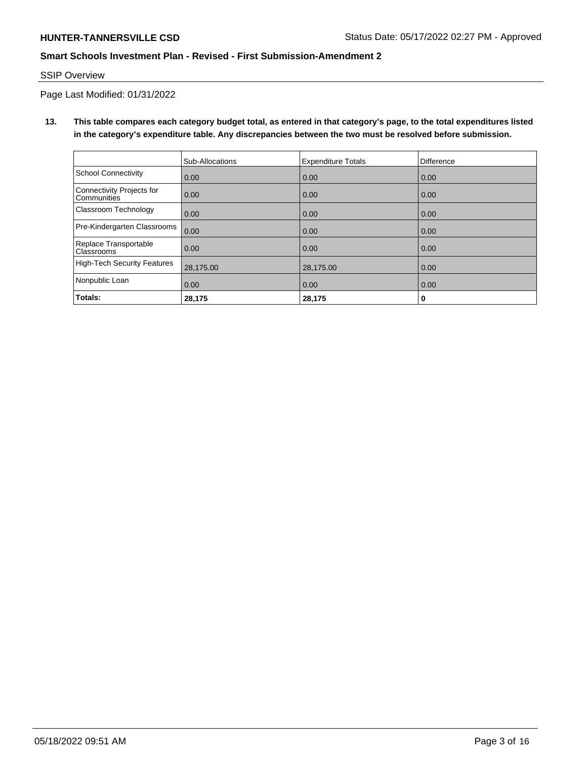## SSIP Overview

Page Last Modified: 01/31/2022

**13. This table compares each category budget total, as entered in that category's page, to the total expenditures listed in the category's expenditure table. Any discrepancies between the two must be resolved before submission.**

|                                            | Sub-Allocations | <b>Expenditure Totals</b> | <b>Difference</b> |
|--------------------------------------------|-----------------|---------------------------|-------------------|
| <b>School Connectivity</b>                 | 0.00            | 0.00                      | 0.00              |
| Connectivity Projects for<br>Communities   | 0.00            | 0.00                      | 0.00              |
| Classroom Technology                       | 0.00            | 0.00                      | 0.00              |
| Pre-Kindergarten Classrooms                | 0.00            | 0.00                      | 0.00              |
| Replace Transportable<br><b>Classrooms</b> | 0.00            | 0.00                      | 0.00              |
| High-Tech Security Features                | 28,175.00       | 28,175.00                 | 0.00              |
| Nonpublic Loan                             | 0.00            | 0.00                      | 0.00              |
| Totals:                                    | 28,175          | 28,175                    | 0                 |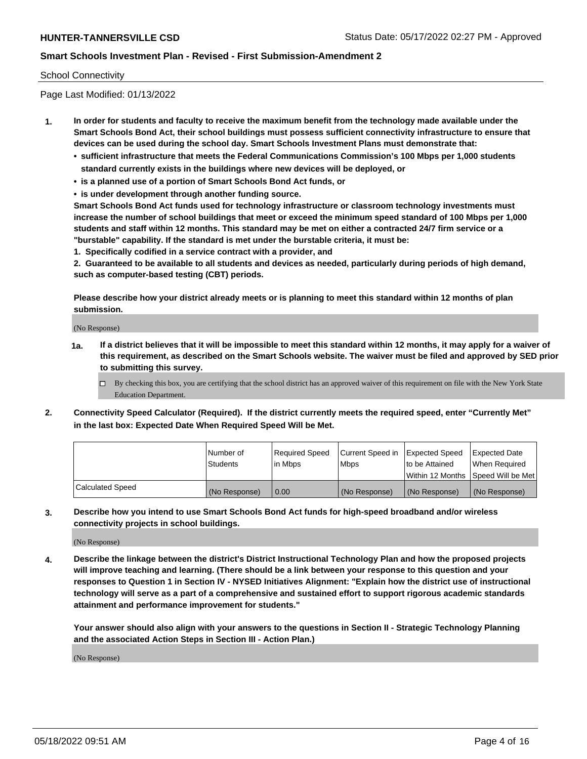## School Connectivity

Page Last Modified: 01/13/2022

- **1. In order for students and faculty to receive the maximum benefit from the technology made available under the Smart Schools Bond Act, their school buildings must possess sufficient connectivity infrastructure to ensure that devices can be used during the school day. Smart Schools Investment Plans must demonstrate that:**
	- **• sufficient infrastructure that meets the Federal Communications Commission's 100 Mbps per 1,000 students standard currently exists in the buildings where new devices will be deployed, or**
	- **• is a planned use of a portion of Smart Schools Bond Act funds, or**
	- **• is under development through another funding source.**

**Smart Schools Bond Act funds used for technology infrastructure or classroom technology investments must increase the number of school buildings that meet or exceed the minimum speed standard of 100 Mbps per 1,000 students and staff within 12 months. This standard may be met on either a contracted 24/7 firm service or a "burstable" capability. If the standard is met under the burstable criteria, it must be:**

**1. Specifically codified in a service contract with a provider, and**

**2. Guaranteed to be available to all students and devices as needed, particularly during periods of high demand, such as computer-based testing (CBT) periods.**

**Please describe how your district already meets or is planning to meet this standard within 12 months of plan submission.**

(No Response)

- **1a. If a district believes that it will be impossible to meet this standard within 12 months, it may apply for a waiver of this requirement, as described on the Smart Schools website. The waiver must be filed and approved by SED prior to submitting this survey.**
	- By checking this box, you are certifying that the school district has an approved waiver of this requirement on file with the New York State Education Department.
- **2. Connectivity Speed Calculator (Required). If the district currently meets the required speed, enter "Currently Met" in the last box: Expected Date When Required Speed Will be Met.**

|                  | l Number of     | Required Speed | Current Speed in Expected Speed |                                    | Expected Date |
|------------------|-----------------|----------------|---------------------------------|------------------------------------|---------------|
|                  | <b>Students</b> | l in Mbps      | <b>Mbps</b>                     | to be Attained                     | When Reauired |
|                  |                 |                |                                 | Within 12 Months Speed Will be Met |               |
| Calculated Speed | (No Response)   | 0.00           | (No Response)                   | (No Response)                      | (No Response) |

**3. Describe how you intend to use Smart Schools Bond Act funds for high-speed broadband and/or wireless connectivity projects in school buildings.**

(No Response)

**4. Describe the linkage between the district's District Instructional Technology Plan and how the proposed projects will improve teaching and learning. (There should be a link between your response to this question and your responses to Question 1 in Section IV - NYSED Initiatives Alignment: "Explain how the district use of instructional technology will serve as a part of a comprehensive and sustained effort to support rigorous academic standards attainment and performance improvement for students."** 

**Your answer should also align with your answers to the questions in Section II - Strategic Technology Planning and the associated Action Steps in Section III - Action Plan.)**

(No Response)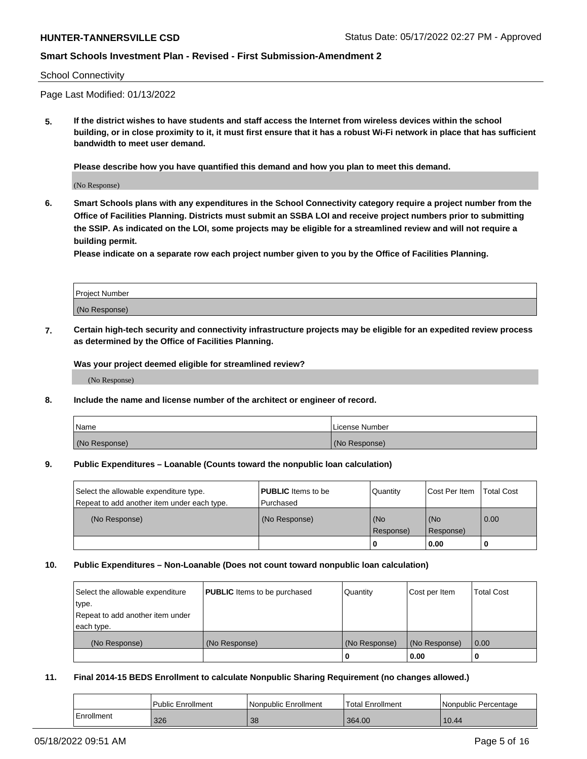#### School Connectivity

Page Last Modified: 01/13/2022

**5. If the district wishes to have students and staff access the Internet from wireless devices within the school building, or in close proximity to it, it must first ensure that it has a robust Wi-Fi network in place that has sufficient bandwidth to meet user demand.**

**Please describe how you have quantified this demand and how you plan to meet this demand.**

(No Response)

**6. Smart Schools plans with any expenditures in the School Connectivity category require a project number from the Office of Facilities Planning. Districts must submit an SSBA LOI and receive project numbers prior to submitting the SSIP. As indicated on the LOI, some projects may be eligible for a streamlined review and will not require a building permit.**

**Please indicate on a separate row each project number given to you by the Office of Facilities Planning.**

| <b>Project Number</b> |  |
|-----------------------|--|
| (No Response)         |  |

**7. Certain high-tech security and connectivity infrastructure projects may be eligible for an expedited review process as determined by the Office of Facilities Planning.**

**Was your project deemed eligible for streamlined review?**

(No Response)

#### **8. Include the name and license number of the architect or engineer of record.**

| Name          | I License Number |
|---------------|------------------|
| (No Response) | (No Response)    |

#### **9. Public Expenditures – Loanable (Counts toward the nonpublic loan calculation)**

| Select the allowable expenditure type.<br>Repeat to add another item under each type. | <b>PUBLIC</b> Items to be<br>l Purchased | Quantity         | Cost Per Item    | <b>Total Cost</b> |
|---------------------------------------------------------------------------------------|------------------------------------------|------------------|------------------|-------------------|
| (No Response)                                                                         | (No Response)                            | (No<br>Response) | (No<br>Response) | 0.00              |
|                                                                                       |                                          | -0               | 0.00             |                   |

## **10. Public Expenditures – Non-Loanable (Does not count toward nonpublic loan calculation)**

| Select the allowable expenditure | <b>PUBLIC</b> Items to be purchased | Quantity      | Cost per Item | <b>Total Cost</b> |
|----------------------------------|-------------------------------------|---------------|---------------|-------------------|
| type.                            |                                     |               |               |                   |
| Repeat to add another item under |                                     |               |               |                   |
| each type.                       |                                     |               |               |                   |
| (No Response)                    | (No Response)                       | (No Response) | (No Response) | 0.00              |
|                                  |                                     | U             | 0.00          |                   |

#### **11. Final 2014-15 BEDS Enrollment to calculate Nonpublic Sharing Requirement (no changes allowed.)**

|            | Public Enrollment | Nonpublic Enrollment | <b>Total Enrollment</b> | I Nonpublic Percentage |
|------------|-------------------|----------------------|-------------------------|------------------------|
| Enrollment | 326               | 38                   | 364.00                  | 10.44                  |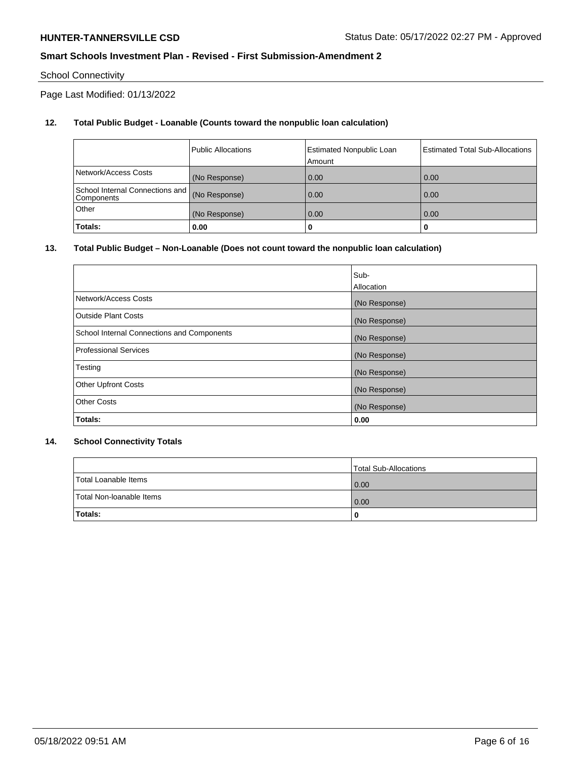# School Connectivity

Page Last Modified: 01/13/2022

# **12. Total Public Budget - Loanable (Counts toward the nonpublic loan calculation)**

|                                               | <b>Public Allocations</b> | <b>Estimated Nonpublic Loan</b><br>Amount | Estimated Total Sub-Allocations |
|-----------------------------------------------|---------------------------|-------------------------------------------|---------------------------------|
| Network/Access Costs                          | (No Response)             | 0.00                                      | 0.00                            |
| School Internal Connections and<br>Components | (No Response)             | 0.00                                      | 0.00                            |
| Other                                         | (No Response)             | 0.00                                      | 0.00                            |
| Totals:                                       | 0.00                      |                                           | 0                               |

## **13. Total Public Budget – Non-Loanable (Does not count toward the nonpublic loan calculation)**

|                                            | Sub-          |
|--------------------------------------------|---------------|
|                                            | Allocation    |
| Network/Access Costs                       | (No Response) |
| <b>Outside Plant Costs</b>                 | (No Response) |
| School Internal Connections and Components | (No Response) |
| <b>Professional Services</b>               | (No Response) |
| Testing                                    | (No Response) |
| <b>Other Upfront Costs</b>                 | (No Response) |
| <b>Other Costs</b>                         | (No Response) |
| Totals:                                    | 0.00          |

## **14. School Connectivity Totals**

|                          | Total Sub-Allocations |
|--------------------------|-----------------------|
| Total Loanable Items     | 0.00                  |
| Total Non-Ioanable Items | 0.00                  |
| Totals:                  | 0                     |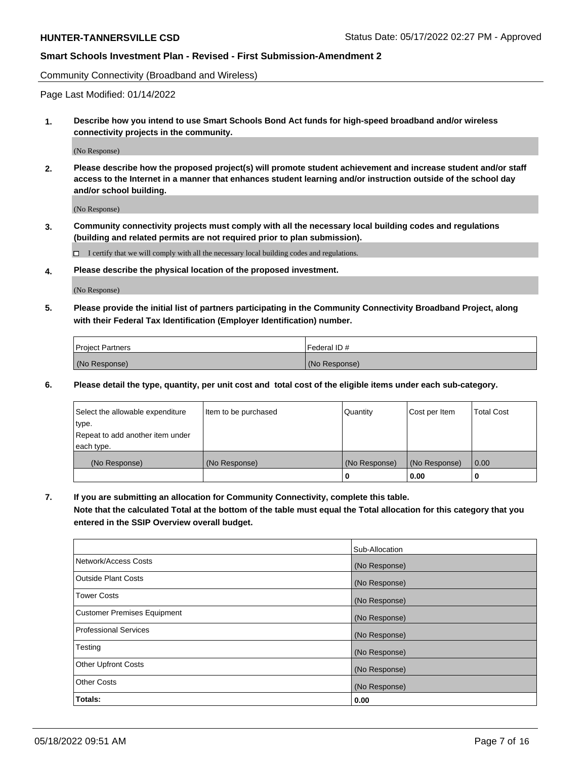Community Connectivity (Broadband and Wireless)

Page Last Modified: 01/14/2022

**1. Describe how you intend to use Smart Schools Bond Act funds for high-speed broadband and/or wireless connectivity projects in the community.**

(No Response)

**2. Please describe how the proposed project(s) will promote student achievement and increase student and/or staff access to the Internet in a manner that enhances student learning and/or instruction outside of the school day and/or school building.**

(No Response)

**3. Community connectivity projects must comply with all the necessary local building codes and regulations (building and related permits are not required prior to plan submission).**

 $\Box$  I certify that we will comply with all the necessary local building codes and regulations.

**4. Please describe the physical location of the proposed investment.**

(No Response)

**5. Please provide the initial list of partners participating in the Community Connectivity Broadband Project, along with their Federal Tax Identification (Employer Identification) number.**

| <b>Project Partners</b> | l Federal ID # |
|-------------------------|----------------|
| (No Response)           | (No Response)  |

**6. Please detail the type, quantity, per unit cost and total cost of the eligible items under each sub-category.**

| Select the allowable expenditure | Item to be purchased | Quantity      | Cost per Item | <b>Total Cost</b> |
|----------------------------------|----------------------|---------------|---------------|-------------------|
| type.                            |                      |               |               |                   |
| Repeat to add another item under |                      |               |               |                   |
| each type.                       |                      |               |               |                   |
| (No Response)                    | (No Response)        | (No Response) | (No Response) | 0.00              |
|                                  |                      | 0             | 0.00          |                   |

**7. If you are submitting an allocation for Community Connectivity, complete this table.**

**Note that the calculated Total at the bottom of the table must equal the Total allocation for this category that you entered in the SSIP Overview overall budget.**

|                                    | Sub-Allocation |
|------------------------------------|----------------|
| Network/Access Costs               | (No Response)  |
| <b>Outside Plant Costs</b>         | (No Response)  |
| <b>Tower Costs</b>                 | (No Response)  |
| <b>Customer Premises Equipment</b> | (No Response)  |
| Professional Services              | (No Response)  |
| Testing                            | (No Response)  |
| <b>Other Upfront Costs</b>         | (No Response)  |
| <b>Other Costs</b>                 | (No Response)  |
| Totals:                            | 0.00           |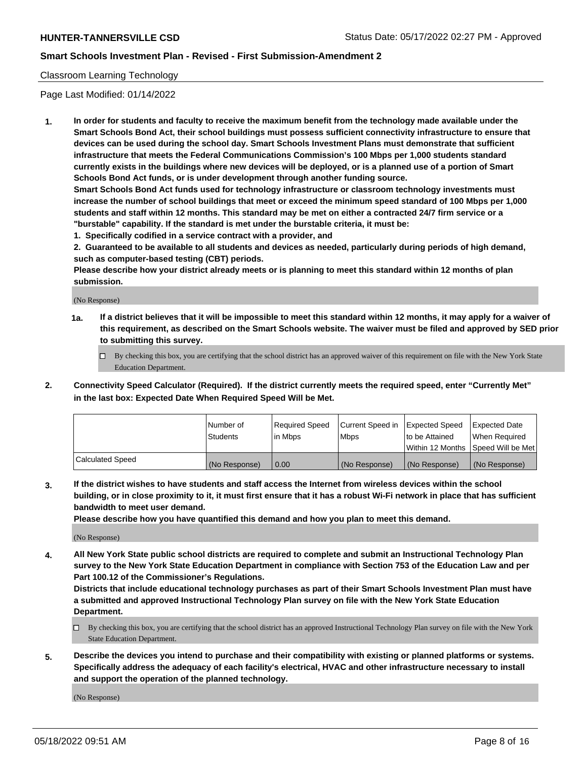## Classroom Learning Technology

Page Last Modified: 01/14/2022

**1. In order for students and faculty to receive the maximum benefit from the technology made available under the Smart Schools Bond Act, their school buildings must possess sufficient connectivity infrastructure to ensure that devices can be used during the school day. Smart Schools Investment Plans must demonstrate that sufficient infrastructure that meets the Federal Communications Commission's 100 Mbps per 1,000 students standard currently exists in the buildings where new devices will be deployed, or is a planned use of a portion of Smart Schools Bond Act funds, or is under development through another funding source.**

**Smart Schools Bond Act funds used for technology infrastructure or classroom technology investments must increase the number of school buildings that meet or exceed the minimum speed standard of 100 Mbps per 1,000 students and staff within 12 months. This standard may be met on either a contracted 24/7 firm service or a "burstable" capability. If the standard is met under the burstable criteria, it must be:**

**1. Specifically codified in a service contract with a provider, and**

**2. Guaranteed to be available to all students and devices as needed, particularly during periods of high demand, such as computer-based testing (CBT) periods.**

**Please describe how your district already meets or is planning to meet this standard within 12 months of plan submission.**

(No Response)

- **1a. If a district believes that it will be impossible to meet this standard within 12 months, it may apply for a waiver of this requirement, as described on the Smart Schools website. The waiver must be filed and approved by SED prior to submitting this survey.**
	- By checking this box, you are certifying that the school district has an approved waiver of this requirement on file with the New York State Education Department.
- **2. Connectivity Speed Calculator (Required). If the district currently meets the required speed, enter "Currently Met" in the last box: Expected Date When Required Speed Will be Met.**

|                  | Number of     | Required Speed | Current Speed in | Expected Speed | Expected Date                           |
|------------------|---------------|----------------|------------------|----------------|-----------------------------------------|
|                  | Students      | lin Mbps       | <b>Mbps</b>      | to be Attained | When Required                           |
|                  |               |                |                  |                | l Within 12 Months ISpeed Will be Met l |
| Calculated Speed | (No Response) | 0.00           | (No Response)    | (No Response)  | (No Response)                           |

**3. If the district wishes to have students and staff access the Internet from wireless devices within the school building, or in close proximity to it, it must first ensure that it has a robust Wi-Fi network in place that has sufficient bandwidth to meet user demand.**

**Please describe how you have quantified this demand and how you plan to meet this demand.**

(No Response)

**4. All New York State public school districts are required to complete and submit an Instructional Technology Plan survey to the New York State Education Department in compliance with Section 753 of the Education Law and per Part 100.12 of the Commissioner's Regulations.**

**Districts that include educational technology purchases as part of their Smart Schools Investment Plan must have a submitted and approved Instructional Technology Plan survey on file with the New York State Education Department.**

- By checking this box, you are certifying that the school district has an approved Instructional Technology Plan survey on file with the New York State Education Department.
- **5. Describe the devices you intend to purchase and their compatibility with existing or planned platforms or systems. Specifically address the adequacy of each facility's electrical, HVAC and other infrastructure necessary to install and support the operation of the planned technology.**

(No Response)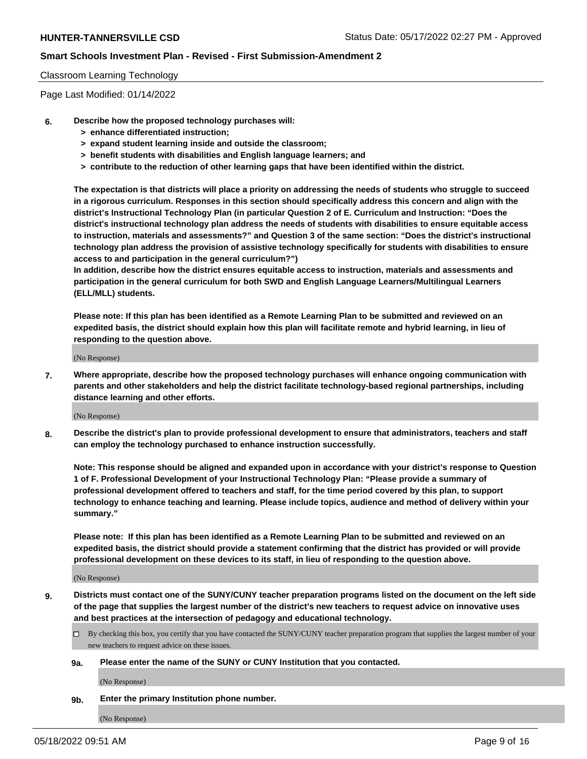## Classroom Learning Technology

Page Last Modified: 01/14/2022

- **6. Describe how the proposed technology purchases will:**
	- **> enhance differentiated instruction;**
	- **> expand student learning inside and outside the classroom;**
	- **> benefit students with disabilities and English language learners; and**
	- **> contribute to the reduction of other learning gaps that have been identified within the district.**

**The expectation is that districts will place a priority on addressing the needs of students who struggle to succeed in a rigorous curriculum. Responses in this section should specifically address this concern and align with the district's Instructional Technology Plan (in particular Question 2 of E. Curriculum and Instruction: "Does the district's instructional technology plan address the needs of students with disabilities to ensure equitable access to instruction, materials and assessments?" and Question 3 of the same section: "Does the district's instructional technology plan address the provision of assistive technology specifically for students with disabilities to ensure access to and participation in the general curriculum?")**

**In addition, describe how the district ensures equitable access to instruction, materials and assessments and participation in the general curriculum for both SWD and English Language Learners/Multilingual Learners (ELL/MLL) students.**

**Please note: If this plan has been identified as a Remote Learning Plan to be submitted and reviewed on an expedited basis, the district should explain how this plan will facilitate remote and hybrid learning, in lieu of responding to the question above.**

(No Response)

**7. Where appropriate, describe how the proposed technology purchases will enhance ongoing communication with parents and other stakeholders and help the district facilitate technology-based regional partnerships, including distance learning and other efforts.**

(No Response)

**8. Describe the district's plan to provide professional development to ensure that administrators, teachers and staff can employ the technology purchased to enhance instruction successfully.**

**Note: This response should be aligned and expanded upon in accordance with your district's response to Question 1 of F. Professional Development of your Instructional Technology Plan: "Please provide a summary of professional development offered to teachers and staff, for the time period covered by this plan, to support technology to enhance teaching and learning. Please include topics, audience and method of delivery within your summary."**

**Please note: If this plan has been identified as a Remote Learning Plan to be submitted and reviewed on an expedited basis, the district should provide a statement confirming that the district has provided or will provide professional development on these devices to its staff, in lieu of responding to the question above.**

(No Response)

**9. Districts must contact one of the SUNY/CUNY teacher preparation programs listed on the document on the left side of the page that supplies the largest number of the district's new teachers to request advice on innovative uses and best practices at the intersection of pedagogy and educational technology.**

- By checking this box, you certify that you have contacted the SUNY/CUNY teacher preparation program that supplies the largest number of your new teachers to request advice on these issues.
- **9a. Please enter the name of the SUNY or CUNY Institution that you contacted.**

(No Response)

**9b. Enter the primary Institution phone number.**

(No Response)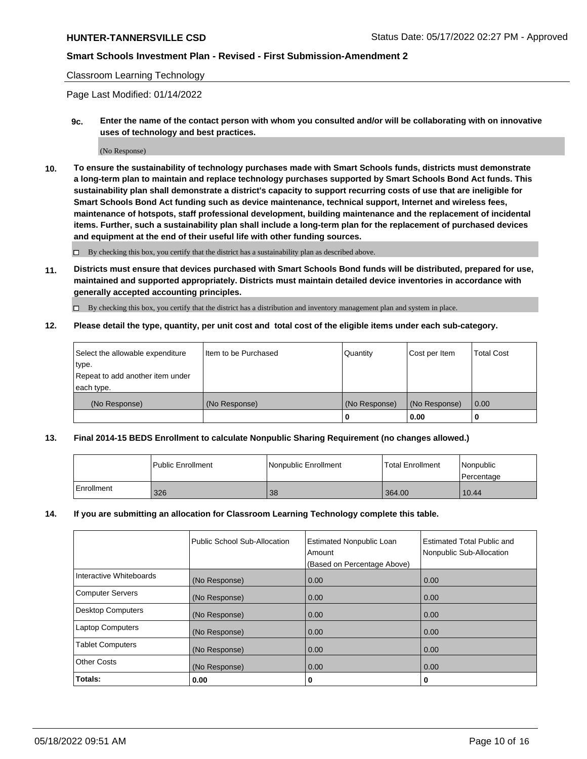### Classroom Learning Technology

Page Last Modified: 01/14/2022

**9c. Enter the name of the contact person with whom you consulted and/or will be collaborating with on innovative uses of technology and best practices.**

(No Response)

**10. To ensure the sustainability of technology purchases made with Smart Schools funds, districts must demonstrate a long-term plan to maintain and replace technology purchases supported by Smart Schools Bond Act funds. This sustainability plan shall demonstrate a district's capacity to support recurring costs of use that are ineligible for Smart Schools Bond Act funding such as device maintenance, technical support, Internet and wireless fees, maintenance of hotspots, staff professional development, building maintenance and the replacement of incidental items. Further, such a sustainability plan shall include a long-term plan for the replacement of purchased devices and equipment at the end of their useful life with other funding sources.**

 $\square$  By checking this box, you certify that the district has a sustainability plan as described above.

**11. Districts must ensure that devices purchased with Smart Schools Bond funds will be distributed, prepared for use, maintained and supported appropriately. Districts must maintain detailed device inventories in accordance with generally accepted accounting principles.**

By checking this box, you certify that the district has a distribution and inventory management plan and system in place.

**12. Please detail the type, quantity, per unit cost and total cost of the eligible items under each sub-category.**

| Select the allowable expenditure | I Item to be Purchased | Quantity      | Cost per Item | Total Cost |
|----------------------------------|------------------------|---------------|---------------|------------|
| type.                            |                        |               |               |            |
| Repeat to add another item under |                        |               |               |            |
| each type.                       |                        |               |               |            |
| (No Response)                    | (No Response)          | (No Response) | (No Response) | 0.00       |
|                                  |                        | u             | 0.00          |            |

## **13. Final 2014-15 BEDS Enrollment to calculate Nonpublic Sharing Requirement (no changes allowed.)**

|            | l Public Enrollment | Nonpublic Enrollment | <b>Total Enrollment</b> | Nonpublic<br>l Percentage |
|------------|---------------------|----------------------|-------------------------|---------------------------|
| Enrollment | 326                 | 38                   | 364.00                  | 10.44                     |

#### **14. If you are submitting an allocation for Classroom Learning Technology complete this table.**

|                          | Public School Sub-Allocation | <b>Estimated Nonpublic Loan</b><br>Amount | <b>Estimated Total Public and</b><br>Nonpublic Sub-Allocation |
|--------------------------|------------------------------|-------------------------------------------|---------------------------------------------------------------|
|                          |                              | (Based on Percentage Above)               |                                                               |
| Interactive Whiteboards  | (No Response)                | 0.00                                      | 0.00                                                          |
| <b>Computer Servers</b>  | (No Response)                | 0.00                                      | 0.00                                                          |
| <b>Desktop Computers</b> | (No Response)                | 0.00                                      | 0.00                                                          |
| <b>Laptop Computers</b>  | (No Response)                | 0.00                                      | 0.00                                                          |
| <b>Tablet Computers</b>  | (No Response)                | 0.00                                      | 0.00                                                          |
| <b>Other Costs</b>       | (No Response)                | 0.00                                      | 0.00                                                          |
| Totals:                  | 0.00                         | 0                                         | 0                                                             |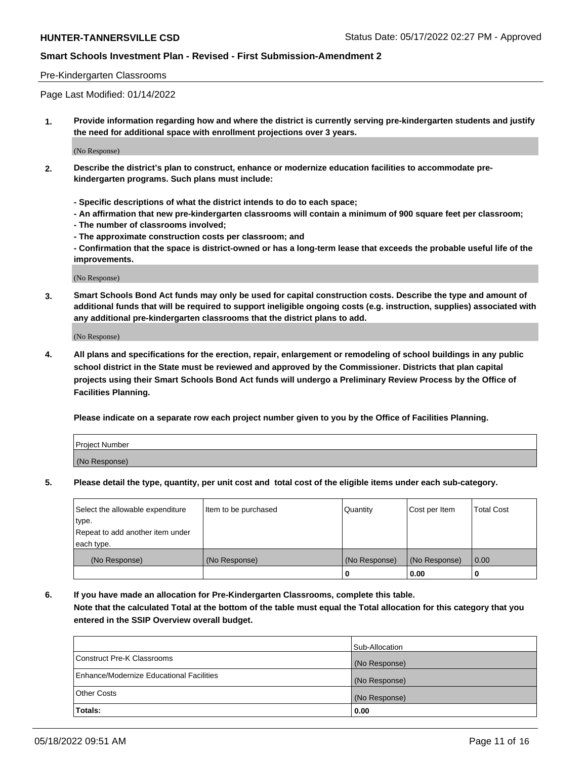## Pre-Kindergarten Classrooms

Page Last Modified: 01/14/2022

**1. Provide information regarding how and where the district is currently serving pre-kindergarten students and justify the need for additional space with enrollment projections over 3 years.**

(No Response)

- **2. Describe the district's plan to construct, enhance or modernize education facilities to accommodate prekindergarten programs. Such plans must include:**
	- **Specific descriptions of what the district intends to do to each space;**
	- **An affirmation that new pre-kindergarten classrooms will contain a minimum of 900 square feet per classroom;**
	- **The number of classrooms involved;**
	- **The approximate construction costs per classroom; and**
	- **Confirmation that the space is district-owned or has a long-term lease that exceeds the probable useful life of the improvements.**

(No Response)

**3. Smart Schools Bond Act funds may only be used for capital construction costs. Describe the type and amount of additional funds that will be required to support ineligible ongoing costs (e.g. instruction, supplies) associated with any additional pre-kindergarten classrooms that the district plans to add.**

(No Response)

**4. All plans and specifications for the erection, repair, enlargement or remodeling of school buildings in any public school district in the State must be reviewed and approved by the Commissioner. Districts that plan capital projects using their Smart Schools Bond Act funds will undergo a Preliminary Review Process by the Office of Facilities Planning.**

**Please indicate on a separate row each project number given to you by the Office of Facilities Planning.**

| Project Number |  |
|----------------|--|
| (No Response)  |  |

**5. Please detail the type, quantity, per unit cost and total cost of the eligible items under each sub-category.**

| Select the allowable expenditure | Item to be purchased | Quantity      | Cost per Item | <b>Total Cost</b> |
|----------------------------------|----------------------|---------------|---------------|-------------------|
| type.                            |                      |               |               |                   |
| Repeat to add another item under |                      |               |               |                   |
| each type.                       |                      |               |               |                   |
| (No Response)                    | (No Response)        | (No Response) | (No Response) | 0.00              |
|                                  |                      | 0             | 0.00          |                   |

**6. If you have made an allocation for Pre-Kindergarten Classrooms, complete this table.**

**Note that the calculated Total at the bottom of the table must equal the Total allocation for this category that you entered in the SSIP Overview overall budget.**

|                                          | Sub-Allocation |
|------------------------------------------|----------------|
| Construct Pre-K Classrooms               | (No Response)  |
| Enhance/Modernize Educational Facilities | (No Response)  |
| <b>Other Costs</b>                       | (No Response)  |
| Totals:                                  | 0.00           |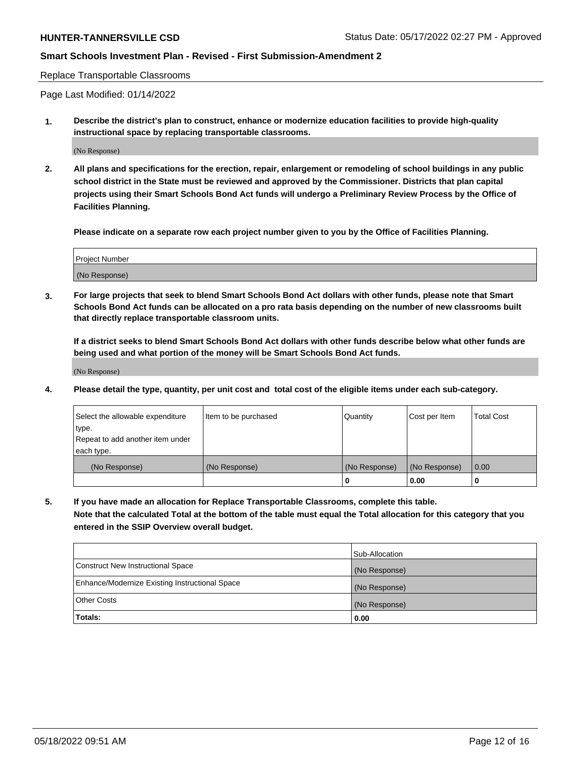Replace Transportable Classrooms

Page Last Modified: 01/14/2022

**1. Describe the district's plan to construct, enhance or modernize education facilities to provide high-quality instructional space by replacing transportable classrooms.**

(No Response)

**2. All plans and specifications for the erection, repair, enlargement or remodeling of school buildings in any public school district in the State must be reviewed and approved by the Commissioner. Districts that plan capital projects using their Smart Schools Bond Act funds will undergo a Preliminary Review Process by the Office of Facilities Planning.**

**Please indicate on a separate row each project number given to you by the Office of Facilities Planning.**

| <b>Project Number</b> |  |
|-----------------------|--|
| (No Response)         |  |

**3. For large projects that seek to blend Smart Schools Bond Act dollars with other funds, please note that Smart Schools Bond Act funds can be allocated on a pro rata basis depending on the number of new classrooms built that directly replace transportable classroom units.**

**If a district seeks to blend Smart Schools Bond Act dollars with other funds describe below what other funds are being used and what portion of the money will be Smart Schools Bond Act funds.**

(No Response)

**4. Please detail the type, quantity, per unit cost and total cost of the eligible items under each sub-category.**

| Select the allowable expenditure | Item to be purchased | Quantity      | Cost per Item | <b>Total Cost</b> |
|----------------------------------|----------------------|---------------|---------------|-------------------|
| type.                            |                      |               |               |                   |
| Repeat to add another item under |                      |               |               |                   |
| each type.                       |                      |               |               |                   |
| (No Response)                    | (No Response)        | (No Response) | (No Response) | 0.00              |
|                                  |                      | U             | 0.00          |                   |

**5. If you have made an allocation for Replace Transportable Classrooms, complete this table.**

**Note that the calculated Total at the bottom of the table must equal the Total allocation for this category that you entered in the SSIP Overview overall budget.**

|                                                | Sub-Allocation |
|------------------------------------------------|----------------|
| Construct New Instructional Space              | (No Response)  |
| Enhance/Modernize Existing Instructional Space | (No Response)  |
| <b>Other Costs</b>                             | (No Response)  |
| Totals:                                        | 0.00           |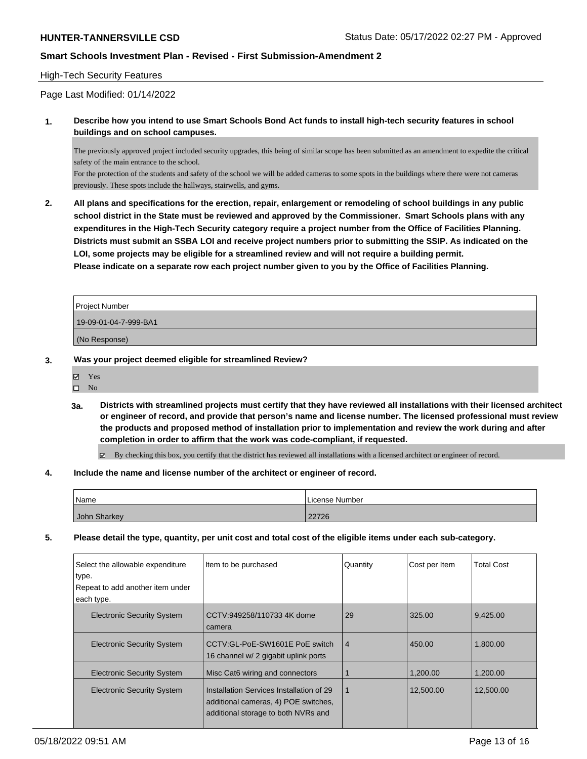## High-Tech Security Features

Page Last Modified: 01/14/2022

**1. Describe how you intend to use Smart Schools Bond Act funds to install high-tech security features in school buildings and on school campuses.**

The previously approved project included security upgrades, this being of similar scope has been submitted as an amendment to expedite the critical safety of the main entrance to the school.

For the protection of the students and safety of the school we will be added cameras to some spots in the buildings where there were not cameras previously. These spots include the hallways, stairwells, and gyms.

**2. All plans and specifications for the erection, repair, enlargement or remodeling of school buildings in any public school district in the State must be reviewed and approved by the Commissioner. Smart Schools plans with any expenditures in the High-Tech Security category require a project number from the Office of Facilities Planning. Districts must submit an SSBA LOI and receive project numbers prior to submitting the SSIP. As indicated on the LOI, some projects may be eligible for a streamlined review and will not require a building permit. Please indicate on a separate row each project number given to you by the Office of Facilities Planning.**

| Project Number        |  |
|-----------------------|--|
| 19-09-01-04-7-999-BA1 |  |
| (No Response)         |  |

**3. Was your project deemed eligible for streamlined Review?**

| 罓 | Yes |
|---|-----|
| п | No  |

- **3a. Districts with streamlined projects must certify that they have reviewed all installations with their licensed architect or engineer of record, and provide that person's name and license number. The licensed professional must review the products and proposed method of installation prior to implementation and review the work during and after completion in order to affirm that the work was code-compliant, if requested.**
	- $\boxtimes$  By checking this box, you certify that the district has reviewed all installations with a licensed architect or engineer of record.
- **4. Include the name and license number of the architect or engineer of record.**

| Name         | License Number |
|--------------|----------------|
| John Sharkey | 22726          |

**5. Please detail the type, quantity, per unit cost and total cost of the eligible items under each sub-category.**

| Select the allowable expenditure<br>type.<br>Repeat to add another item under<br>each type. | Item to be purchased                                                                                                    | Quantity       | Cost per Item | <b>Total Cost</b> |
|---------------------------------------------------------------------------------------------|-------------------------------------------------------------------------------------------------------------------------|----------------|---------------|-------------------|
| <b>Electronic Security System</b>                                                           | CCTV:949258/110733 4K dome<br>camera                                                                                    | 29             | 325.00        | 9,425.00          |
| <b>Electronic Security System</b>                                                           | CCTV:GL-PoE-SW1601E PoE switch<br>16 channel w/ 2 gigabit uplink ports                                                  | $\overline{4}$ | 450.00        | 1,800.00          |
| <b>Electronic Security System</b>                                                           | Misc Cat6 wiring and connectors                                                                                         |                | 1.200.00      | 1,200.00          |
| <b>Electronic Security System</b>                                                           | Installation Services Installation of 29<br>additional cameras, 4) POE switches,<br>additional storage to both NVRs and | $\mathbf 1$    | 12,500.00     | 12,500.00         |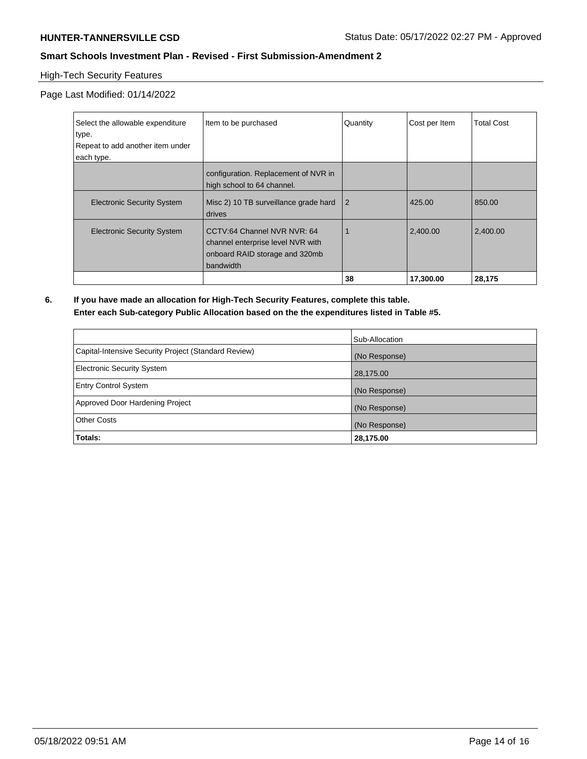# High-Tech Security Features

Page Last Modified: 01/14/2022

| Select the allowable expenditure<br>type. | Item to be purchased                                                                                            | Quantity       | Cost per Item | <b>Total Cost</b> |
|-------------------------------------------|-----------------------------------------------------------------------------------------------------------------|----------------|---------------|-------------------|
| Repeat to add another item under          |                                                                                                                 |                |               |                   |
| each type.                                |                                                                                                                 |                |               |                   |
|                                           | configuration. Replacement of NVR in<br>high school to 64 channel.                                              |                |               |                   |
| <b>Electronic Security System</b>         | Misc 2) 10 TB surveillance grade hard<br>drives                                                                 | $\overline{2}$ | 425.00        | 850.00            |
| <b>Electronic Security System</b>         | CCTV:64 Channel NVR NVR: 64<br>channel enterprise level NVR with<br>onboard RAID storage and 320mb<br>bandwidth |                | 2,400.00      | 2,400.00          |
|                                           |                                                                                                                 | 38             | 17,300.00     | 28,175            |

**6. If you have made an allocation for High-Tech Security Features, complete this table. Enter each Sub-category Public Allocation based on the the expenditures listed in Table #5.**

|                                                      | Sub-Allocation |
|------------------------------------------------------|----------------|
| Capital-Intensive Security Project (Standard Review) | (No Response)  |
| Electronic Security System                           | 28,175.00      |
| <b>Entry Control System</b>                          | (No Response)  |
| Approved Door Hardening Project                      | (No Response)  |
| <b>Other Costs</b>                                   | (No Response)  |
| Totals:                                              | 28,175.00      |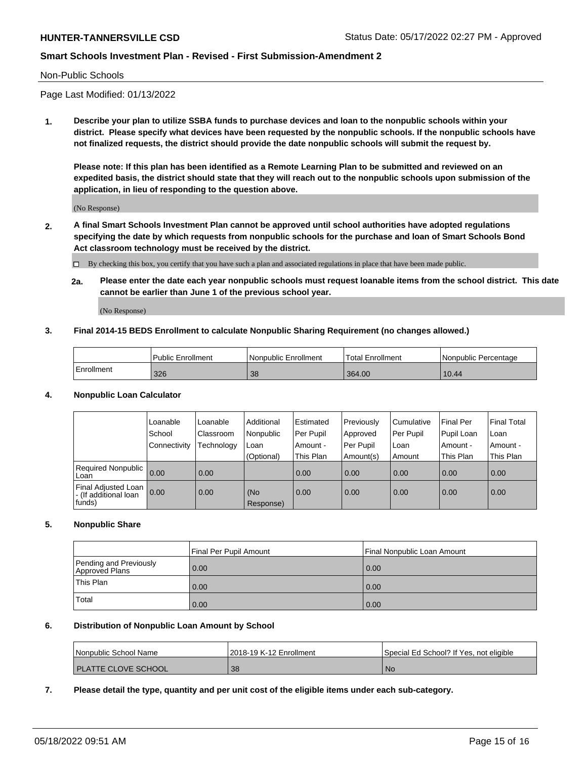#### Non-Public Schools

Page Last Modified: 01/13/2022

**1. Describe your plan to utilize SSBA funds to purchase devices and loan to the nonpublic schools within your district. Please specify what devices have been requested by the nonpublic schools. If the nonpublic schools have not finalized requests, the district should provide the date nonpublic schools will submit the request by.**

**Please note: If this plan has been identified as a Remote Learning Plan to be submitted and reviewed on an expedited basis, the district should state that they will reach out to the nonpublic schools upon submission of the application, in lieu of responding to the question above.**

(No Response)

- **2. A final Smart Schools Investment Plan cannot be approved until school authorities have adopted regulations specifying the date by which requests from nonpublic schools for the purchase and loan of Smart Schools Bond Act classroom technology must be received by the district.**
	- By checking this box, you certify that you have such a plan and associated regulations in place that have been made public.
	- **2a. Please enter the date each year nonpublic schools must request loanable items from the school district. This date cannot be earlier than June 1 of the previous school year.**

(No Response)

## **3. Final 2014-15 BEDS Enrollment to calculate Nonpublic Sharing Requirement (no changes allowed.)**

|            | <b>Public Enrollment</b> | Nonpublic Enrollment | Total Enrollment | l Nonpublic Percentage |
|------------|--------------------------|----------------------|------------------|------------------------|
| Enrollment | 326                      | 38                   | 364.00           | 10.44                  |

## **4. Nonpublic Loan Calculator**

|  |                                                        | Loanable     | Loanable         | Additional       | Estimated | Previously  | l Cumulative | <b>Final Per</b> | Final Total |
|--|--------------------------------------------------------|--------------|------------------|------------------|-----------|-------------|--------------|------------------|-------------|
|  |                                                        | School       | <b>Classroom</b> | Nonpublic        | Per Pupil | Approved    | Per Pupil    | Pupil Loan       | Loan        |
|  |                                                        | Connectivity | Technology       | Loan             | Amount -  | l Per Pupil | l Loan       | Amount -         | Amount -    |
|  |                                                        |              |                  | (Optional)       | This Plan | Amount(s)   | Amount       | This Plan        | This Plan   |
|  | <b>Required Nonpublic</b><br>Loan                      | 0.00         | 0.00             |                  | 0.00      | 0.00        | 0.00         | 0.00             | 0.00        |
|  | Final Adjusted Loan<br>- (If additional loan<br>funds) | 0.00         | 0.00             | (No<br>Response) | 0.00      | 0.00        | 0.00         | 0.00             | 0.00        |

## **5. Nonpublic Share**

|                                          | Final Per Pupil Amount<br>Final Nonpublic Loan Amount |      |
|------------------------------------------|-------------------------------------------------------|------|
| Pending and Previously<br>Approved Plans | 0.00                                                  | 0.00 |
| This Plan                                | 0.00                                                  | 0.00 |
| Total                                    | 0.00                                                  | 0.00 |

#### **6. Distribution of Nonpublic Loan Amount by School**

| Nonpublic School Name        | 2018-19 K-12 Enrollment | Special Ed School? If Yes, not eligible |
|------------------------------|-------------------------|-----------------------------------------|
| <b>I PLATTE CLOVE SCHOOL</b> | -38                     | l No                                    |

## **7. Please detail the type, quantity and per unit cost of the eligible items under each sub-category.**